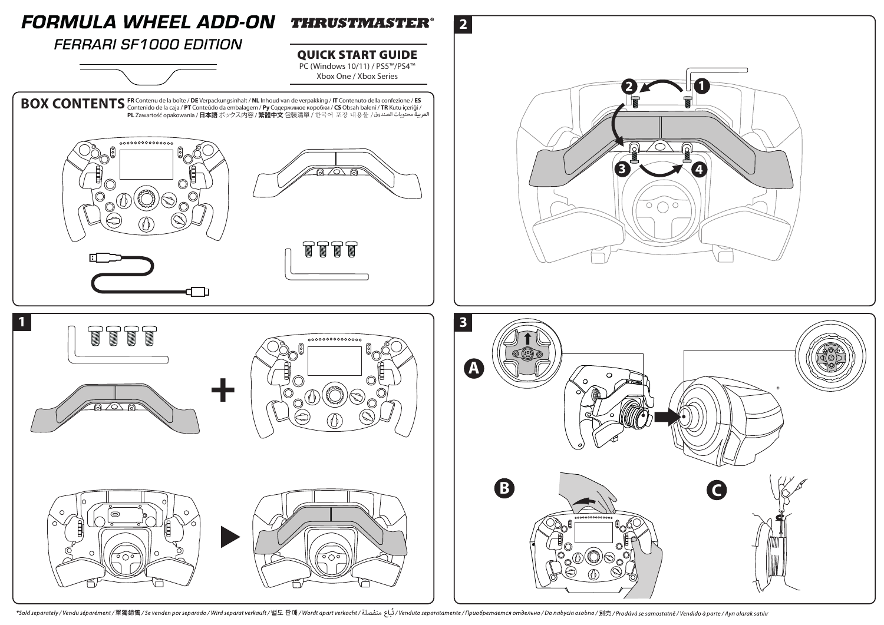

/Svenden por separately / Vendu séparément / 單獨銷售 / Se venden por separado / Wird separat verkauft / 별도 판매 / Wordt apart verkocht / غُباع منفصلة / Venduto separatamente / Приобретается отдельно / Do nabycia osobno / 別売